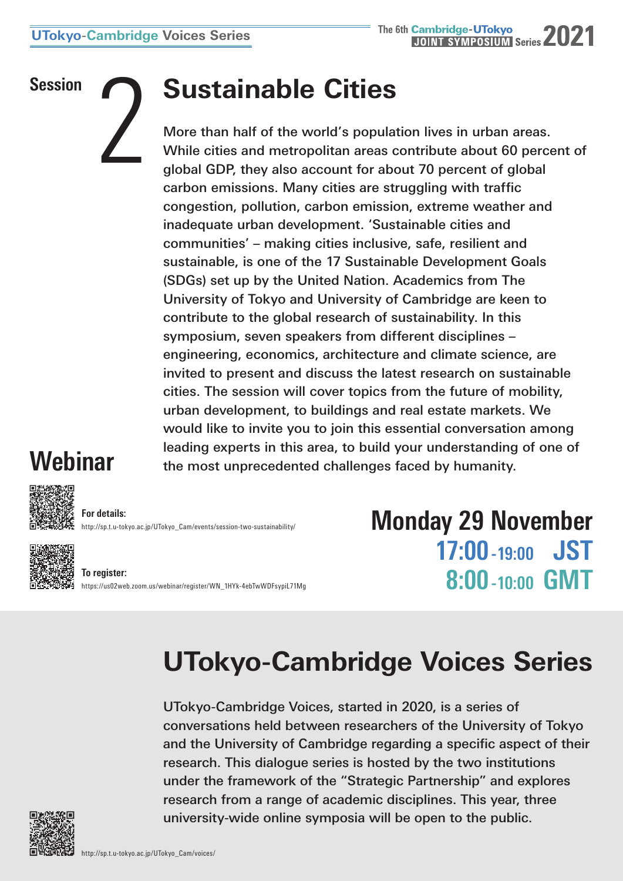## **Session 2 <b>Sustainable Cities**

More than half of the world's population lives in urban areas. While cities and metropolitan areas contribute about 60 percent of global GDP, they also account for about 70 percent of global carbon emissions. Many cities are struggling with traffic congestion, pollution, carbon emission, extreme weather and inadequate urban development. 'Sustainable cities and communities' – making cities inclusive, safe, resilient and sustainable, is one of the 17 Sustainable Development Goals (SDGs) set up by the United Nation. Academics from The University of Tokyo and University of Cambridge are keen to contribute to the global research of sustainability. In this symposium, seven speakers from different disciplines – engineering, economics, architecture and climate science, are invited to present and discuss the latest research on sustainable cities. The session will cover topics from the future of mobility, urban development, to buildings and real estate markets. We would like to invite you to join this essential conversation among leading experts in this area, to build your understanding of one of the most unprecedented challenges faced by humanity.

## **Webinar**



**For details:** [http://sp.t.u-tokyo.ac.jp/UTokyo\\_Cam/events/session-two-sustainability/](http://sp.t.u-tokyo.ac.jp/UTokyo_Cam/events/session-two-sustainability/)



**To register:** [https://us02web.zoom.us/webinar/register/WN\\_1HYk-4ebTwWDFsypiL71Mg](https://us02web.zoom.us/webinar/register/WN_1HYk-4ebTwWDFsypiL71Mg) **Monday 29 November 17:00 -19:00 JST 8:00 -10:00 GMT**

## **UTokyo-Cambridge Voices Series**

UTokyo-Cambridge Voices, started in 2020, is a series of conversations held between researchers of the University of Tokyo and the University of Cambridge regarding a specific aspect of their research. This dialogue series is hosted by the two institutions under the framework of the "Strategic Partnership" and explores research from a range of academic disciplines. This year, three university-wide online symposia will be open to the public.